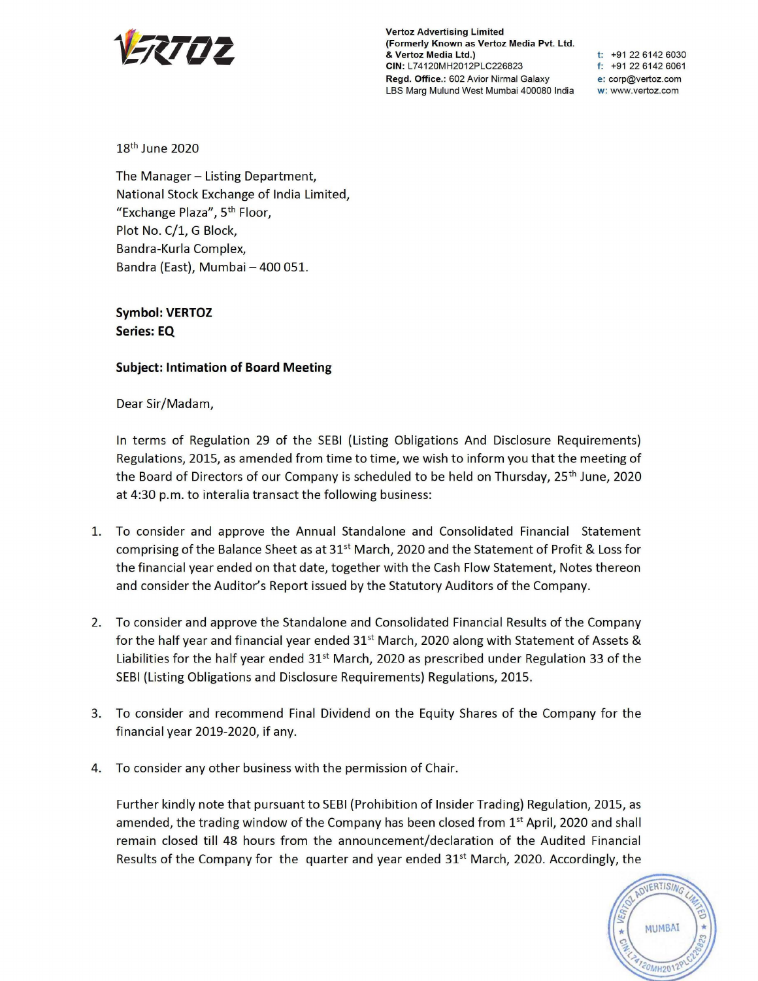

**Vertoz Advertising Limited (Formerly Known as Vertoz Media Pvt. Ltd.**  & **Vertoz Media Ltd.) CIN:** L74120MH2012PLC226823 **Regd. Office.:** 602 Avior Nirmal Galaxy LBS Marg Mulund West Mumbai 400080 India

**t:** +91 22 6142 6030 **f:** +91 22 6142 6061 **e:** corp@vertoz.com **w:** www.vertoz.com

18th June 2020

The Manager - Listing Department, National Stock Exchange of India Limited, "Exchange Plaza", 5th Floor, Plot No. C/1, G Block, Bandra-Kurla Complex, Bandra (East), Mumbai - 400 051.

**Symbol: VERTOZ Series: EQ** 

## **Subject: Intimation of Board Meeting**

Dear Sir/Madam,

In terms of Regulation 29 of the SEBI (Listing Obligations And Disclosure Requirements) Regulations, 2015, as amended from time to time, we wish to inform you that the meeting of the Board of Directors of our Company is scheduled to be held on Thursday, 25<sup>th</sup> June, 2020 at 4:30 p.m. to interalia transact the following business:

- 1. To consider and approve the Annual Standalone and Consolidated Financial Statement comprising of the Balance Sheet as at  $31^{st}$  March, 2020 and the Statement of Profit & Loss for the financial year ended on that date, together with the Cash Flow Statement, Notes thereon and consider the Auditor's Report issued by the Statutory Auditors of the Company.
- 2. To consider and approve the Standalone and Consolidated Financial Results of the Company for the half year and financial year ended  $31^{st}$  March, 2020 along with Statement of Assets & Liabilities for the half year ended  $31<sup>st</sup>$  March, 2020 as prescribed under Regulation 33 of the SEBI (Listing Obligations and Disclosure Requirements) Regulations, 2015.
- 3. To consider and recommend Final Dividend on the Equity Shares of the Company for the financial year 2019-2020, if any.
- 4. To consider any other business with the permission of Chair.

Further kindly note that pursuant to SEBI (Prohibition of Insider Trading) Regulation, 2015, as amended, the trading window of the Company has been closed from  $1<sup>st</sup>$  April, 2020 and shall remain closed till 48 hours from the announcement/declaration of the Audited Financial Results of the Company for the quarter and year ended 31<sup>st</sup> March, 2020. Accordingly, the